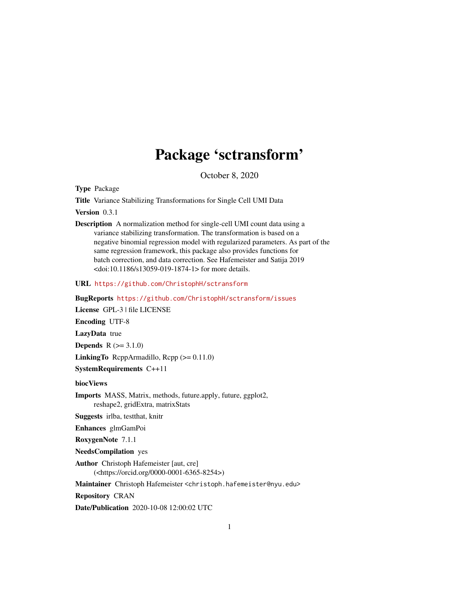# Package 'sctransform'

October 8, 2020

Type Package

Title Variance Stabilizing Transformations for Single Cell UMI Data

Version 0.3.1

Description A normalization method for single-cell UMI count data using a variance stabilizing transformation. The transformation is based on a negative binomial regression model with regularized parameters. As part of the same regression framework, this package also provides functions for batch correction, and data correction. See Hafemeister and Satija 2019 <doi:10.1186/s13059-019-1874-1> for more details.

URL <https://github.com/ChristophH/sctransform>

BugReports <https://github.com/ChristophH/sctransform/issues>

License GPL-3 | file LICENSE

Encoding UTF-8

LazyData true

**Depends**  $R (=3.1.0)$ 

**LinkingTo** ReppArmadillo, Repp  $(>= 0.11.0)$ 

SystemRequirements C++11

biocViews

Imports MASS, Matrix, methods, future.apply, future, ggplot2, reshape2, gridExtra, matrixStats

Suggests irlba, testthat, knitr

Enhances glmGamPoi

RoxygenNote 7.1.1

NeedsCompilation yes

Author Christoph Hafemeister [aut, cre] (<https://orcid.org/0000-0001-6365-8254>)

Maintainer Christoph Hafemeister <christoph.hafemeister@nyu.edu>

Repository CRAN

Date/Publication 2020-10-08 12:00:02 UTC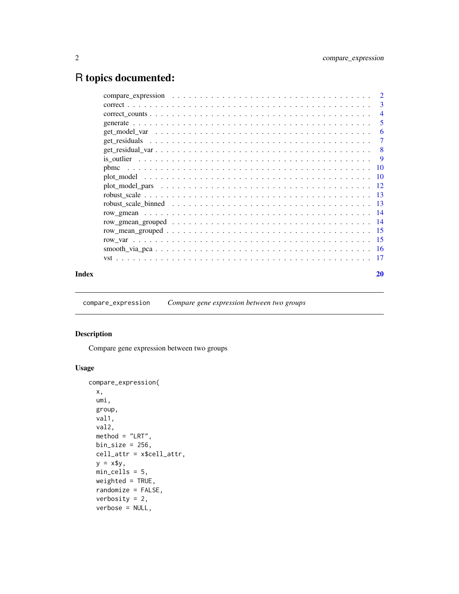# <span id="page-1-0"></span>R topics documented:

|       | $\overline{4}$ |
|-------|----------------|
|       | 5              |
|       | -6             |
|       |                |
|       |                |
|       |                |
|       |                |
|       |                |
|       |                |
|       |                |
|       |                |
|       |                |
|       |                |
|       |                |
|       |                |
|       |                |
|       |                |
| Index | 20             |

compare\_expression *Compare gene expression between two groups*

# Description

Compare gene expression between two groups

```
compare_expression(
 x,
 umi,
 group,
 val1,
 val2,
 method = "LRT",
 bin\_size = 256,
 cell_attr = x$cell_attr,
 y = x \min_cells = 5,
 weighted = TRUE,
 randomize = FALSE,
  verbosity = 2,
 verbose = NULL,
```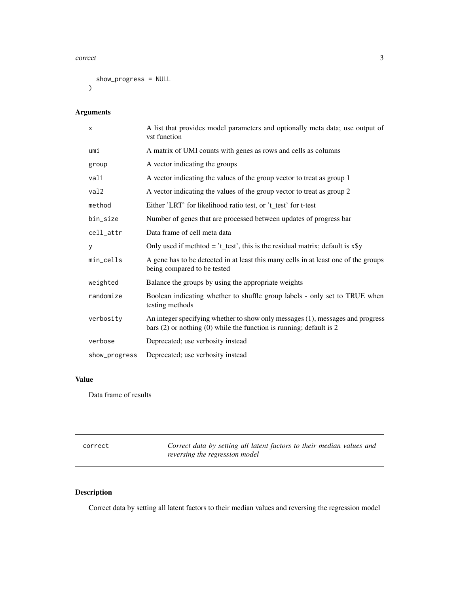#### <span id="page-2-0"></span>correct 3

```
show_progress = NULL
)
```
# Arguments

| X             | A list that provides model parameters and optionally meta data; use output of<br>vst function                                                             |
|---------------|-----------------------------------------------------------------------------------------------------------------------------------------------------------|
| umi           | A matrix of UMI counts with genes as rows and cells as columns                                                                                            |
| group         | A vector indicating the groups                                                                                                                            |
| val1          | A vector indicating the values of the group vector to treat as group 1                                                                                    |
| val2          | A vector indicating the values of the group vector to treat as group 2                                                                                    |
| method        | Either 'LRT' for likelihood ratio test, or 't_test' for t-test                                                                                            |
| bin_size      | Number of genes that are processed between updates of progress bar                                                                                        |
| cell_attr     | Data frame of cell meta data                                                                                                                              |
| y             | Only used if methtod = $t$ _test', this is the residual matrix; default is $x\$ y                                                                         |
| min_cells     | A gene has to be detected in at least this many cells in at least one of the groups<br>being compared to be tested                                        |
| weighted      | Balance the groups by using the appropriate weights                                                                                                       |
| randomize     | Boolean indicating whether to shuffle group labels - only set to TRUE when<br>testing methods                                                             |
| verbosity     | An integer specifying whether to show only messages (1), messages and progress<br>bars $(2)$ or nothing $(0)$ while the function is running; default is 2 |
| verbose       | Deprecated; use verbosity instead                                                                                                                         |
| show_progress | Deprecated; use verbosity instead                                                                                                                         |

# Value

Data frame of results

| correct | Correct data by setting all latent factors to their median values and |  |  |  |  |
|---------|-----------------------------------------------------------------------|--|--|--|--|
|         | reversing the regression model                                        |  |  |  |  |

# Description

Correct data by setting all latent factors to their median values and reversing the regression model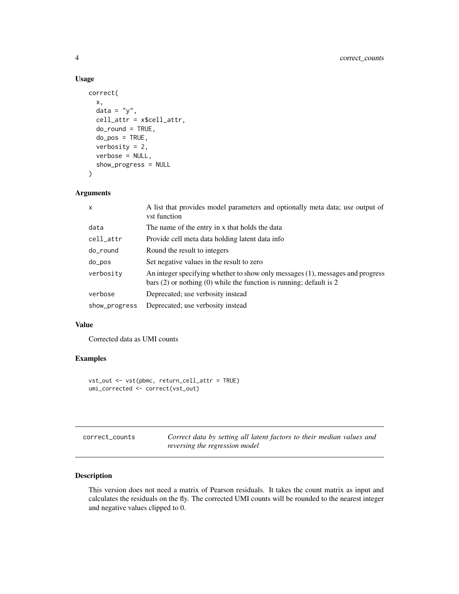# Usage

```
correct(
  x,
  data = "y",
 cell_attr = x$cell_attr,
  do_round = TRUE,
  do_pos = TRUE,verbosity = 2,
  verbose = NULL,
  show_progress = NULL
\mathcal{L}
```
# Arguments

| X             | A list that provides model parameters and optionally meta data; use output of<br>vst function                                                             |
|---------------|-----------------------------------------------------------------------------------------------------------------------------------------------------------|
| data          | The name of the entry in x that holds the data                                                                                                            |
| cell_attr     | Provide cell meta data holding latent data info                                                                                                           |
| do_round      | Round the result to integers                                                                                                                              |
| do_pos        | Set negative values in the result to zero                                                                                                                 |
| verbosity     | An integer specifying whether to show only messages (1), messages and progress<br>bars $(2)$ or nothing $(0)$ while the function is running; default is 2 |
| verbose       | Deprecated; use verbosity instead                                                                                                                         |
| show_progress | Deprecated; use verbosity instead                                                                                                                         |

#### Value

Corrected data as UMI counts

# Examples

```
vst_out <- vst(pbmc, return_cell_attr = TRUE)
umi_corrected <- correct(vst_out)
```

| correct counts | Correct data by setting all latent factors to their median values and |
|----------------|-----------------------------------------------------------------------|
|                | reversing the regression model                                        |

# Description

This version does not need a matrix of Pearson residuals. It takes the count matrix as input and calculates the residuals on the fly. The corrected UMI counts will be rounded to the nearest integer and negative values clipped to 0.

<span id="page-3-0"></span>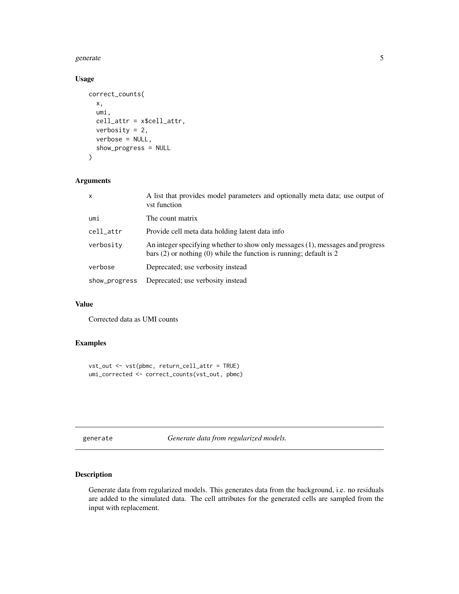#### <span id="page-4-0"></span>generate 5 and 5 and 5 and 5 and 5 and 5 and 5 and 5 and 5 and 5 and 5 and 5 and 5 and 5 and 5 and 5 and 5 and 5 and 5 and 5 and 5 and 5 and 5 and 5 and 5 and 5 and 5 and 5 and 5 and 5 and 5 and 5 and 5 and 5 and 5 and 5 a

# Usage

```
correct_counts(
  x,
  umi,
  cell_attr = x$cell_attr,
  verbosity = 2,
  verbose = NULL,
  show_progress = NULL
)
```
#### Arguments

| x             | A list that provides model parameters and optionally meta data; use output of<br>vst function                                                             |
|---------------|-----------------------------------------------------------------------------------------------------------------------------------------------------------|
| umi           | The count matrix                                                                                                                                          |
| cell_attr     | Provide cell meta data holding latent data info                                                                                                           |
| verbosity     | An integer specifying whether to show only messages (1), messages and progress<br>bars $(2)$ or nothing $(0)$ while the function is running; default is 2 |
| verbose       | Deprecated; use verbosity instead                                                                                                                         |
| show_progress | Deprecated; use verbosity instead                                                                                                                         |

# Value

Corrected data as UMI counts

# Examples

```
vst_out <- vst(pbmc, return_cell_attr = TRUE)
umi_corrected <- correct_counts(vst_out, pbmc)
```
generate *Generate data from regularized models.*

#### Description

Generate data from regularized models. This generates data from the background, i.e. no residuals are added to the simulated data. The cell attributes for the generated cells are sampled from the input with replacement.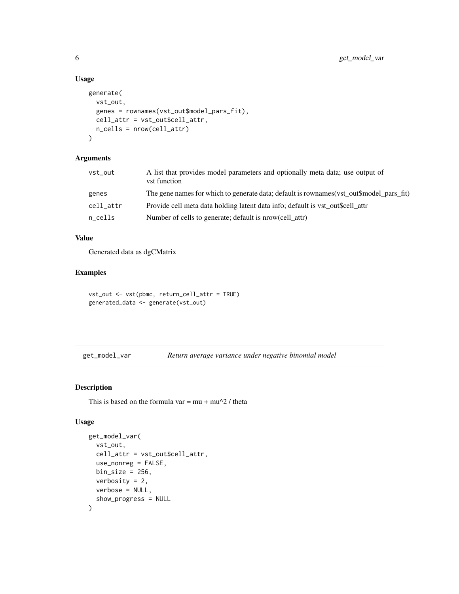# Usage

```
generate(
  vst_out,
  genes = rownames(vst_out$model_pars_fit),
  cell_attr = vst_out$cell_attr,
  n_cells = nrow(cell_attr)
\lambda
```
#### Arguments

| vst_out   | A list that provides model parameters and optionally meta data; use output of<br>vst function |
|-----------|-----------------------------------------------------------------------------------------------|
| genes     | The gene names for which to generate data; default is rownames (vst_out\$model_pars_fit)      |
| cell_attr | Provide cell meta data holding latent data info; default is vst out\$cell attr                |
| n cells   | Number of cells to generate; default is nrow(cell attr)                                       |

# Value

Generated data as dgCMatrix

# Examples

```
vst_out <- vst(pbmc, return_cell_attr = TRUE)
generated_data <- generate(vst_out)
```
get\_model\_var *Return average variance under negative binomial model*

# Description

This is based on the formula var =  $mu + mu^2 /$  theta

```
get_model_var(
 vst_out,
 cell_attr = vst_out$cell_attr,
 use_nonreg = FALSE,
 bin\_size = 256,
 verbosity = 2,
 verbose = NULL,
  show_progress = NULL
\mathcal{L}
```
<span id="page-5-0"></span>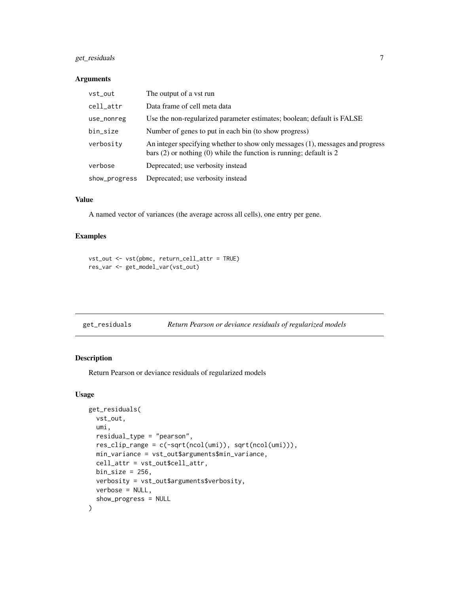# <span id="page-6-0"></span>get\_residuals 7

#### Arguments

| vst_out       | The output of a vst run                                                                                                                                   |
|---------------|-----------------------------------------------------------------------------------------------------------------------------------------------------------|
| cell_attr     | Data frame of cell meta data                                                                                                                              |
| use_nonreg    | Use the non-regularized parameter estimates; boolean; default is FALSE                                                                                    |
| bin_size      | Number of genes to put in each bin (to show progress)                                                                                                     |
| verbosity     | An integer specifying whether to show only messages (1), messages and progress<br>bars $(2)$ or nothing $(0)$ while the function is running; default is 2 |
| verbose       | Deprecated; use verbosity instead                                                                                                                         |
| show_progress | Deprecated; use verbosity instead                                                                                                                         |

#### Value

A named vector of variances (the average across all cells), one entry per gene.

# Examples

```
vst_out <- vst(pbmc, return_cell_attr = TRUE)
res_var <- get_model_var(vst_out)
```
# Description

Return Pearson or deviance residuals of regularized models

```
get_residuals(
  vst_out,
  umi,
  residual_type = "pearson",
  res_clip_range = c(-sqrt(ncol(umi)), sqrt(ncol(umi))),
  min_variance = vst_out$arguments$min_variance,
  cell_attr = vst_out$cell_attr,
  bin\_size = 256,
  verbosity = vst_out$arguments$verbosity,
  verbose = NULL,
  show_progress = NULL
\mathcal{E}
```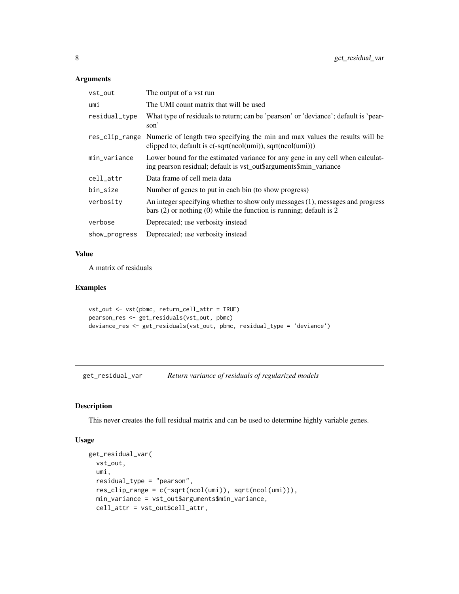# <span id="page-7-0"></span>Arguments

| vst_out        | The output of a vst run                                                                                                                                   |
|----------------|-----------------------------------------------------------------------------------------------------------------------------------------------------------|
| umi            | The UMI count matrix that will be used                                                                                                                    |
| residual_type  | What type of residuals to return; can be 'pearson' or 'deviance'; default is 'pear-<br>son'                                                               |
| res_clip_range | Numeric of length two specifying the min and max values the results will be<br>clipped to; default is $c$ (-sqrt(ncol(umi)), sqrt(ncol(umi)))             |
| min_variance   | Lower bound for the estimated variance for any gene in any cell when calculat-<br>ing pearson residual; default is vst_out\$arguments\$min_variance       |
| cell_attr      | Data frame of cell meta data                                                                                                                              |
| bin_size       | Number of genes to put in each bin (to show progress)                                                                                                     |
| verbosity      | An integer specifying whether to show only messages (1), messages and progress<br>bars $(2)$ or nothing $(0)$ while the function is running; default is 2 |
| verbose        | Deprecated; use verbosity instead                                                                                                                         |
| show_progress  | Deprecated; use verbosity instead                                                                                                                         |

#### Value

A matrix of residuals

# Examples

```
vst_out <- vst(pbmc, return_cell_attr = TRUE)
pearson_res <- get_residuals(vst_out, pbmc)
deviance_res <- get_residuals(vst_out, pbmc, residual_type = 'deviance')
```
get\_residual\_var *Return variance of residuals of regularized models*

# Description

This never creates the full residual matrix and can be used to determine highly variable genes.

```
get_residual_var(
 vst_out,
 umi,
 residual_type = "pearson",
 res_clip_range = c(-sqrt(ncol(umi)), sqrt(ncol(umi))),
 min_variance = vst_out$arguments$min_variance,
 cell_attr = vst_out$cell_attr,
```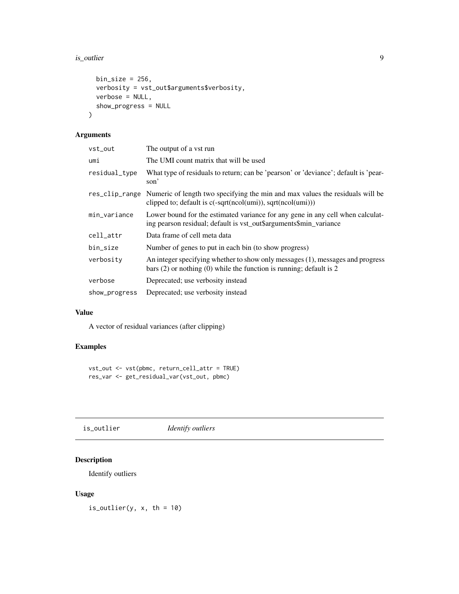#### <span id="page-8-0"></span>is\_outlier 9

```
bin\_size = 256,
 verbosity = vst_out$arguments$verbosity,
 verbose = NULL,
 show_progress = NULL
\mathcal{L}
```
# Arguments

| vst_out       | The output of a vst run                                                                                                                                     |
|---------------|-------------------------------------------------------------------------------------------------------------------------------------------------------------|
| umi           | The UMI count matrix that will be used                                                                                                                      |
| residual_type | What type of residuals to return; can be 'pearson' or 'deviance'; default is 'pear-<br>son'                                                                 |
|               | res_clip_range Numeric of length two specifying the min and max values the residuals will be<br>clipped to; default is c(-sqrt(ncol(umi)), sqrt(ncol(umi))) |
| min_variance  | Lower bound for the estimated variance for any gene in any cell when calculat-<br>ing pearson residual; default is vst_out\$arguments\$min_variance         |
| cell_attr     | Data frame of cell meta data                                                                                                                                |
| bin_size      | Number of genes to put in each bin (to show progress)                                                                                                       |
| verbosity     | An integer specifying whether to show only messages (1), messages and progress<br>bars $(2)$ or nothing $(0)$ while the function is running; default is 2   |
| verbose       | Deprecated; use verbosity instead                                                                                                                           |
| show_progress | Deprecated; use verbosity instead                                                                                                                           |

# Value

A vector of residual variances (after clipping)

# Examples

```
vst_out <- vst(pbmc, return_cell_attr = TRUE)
res_var <- get_residual_var(vst_out, pbmc)
```
is\_outlier *Identify outliers*

# Description

Identify outliers

# Usage

is\_outlier(y,  $x$ , th = 10)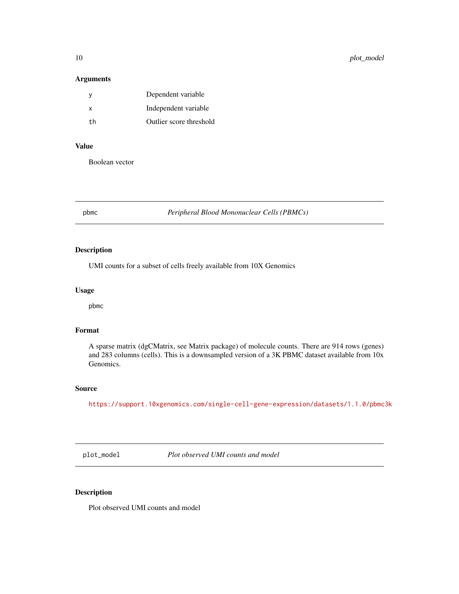## Arguments

| v  | Dependent variable      |
|----|-------------------------|
| x  | Independent variable    |
| th | Outlier score threshold |

# Value

Boolean vector

pbmc *Peripheral Blood Mononuclear Cells (PBMCs)*

# Description

UMI counts for a subset of cells freely available from 10X Genomics

# Usage

pbmc

# Format

A sparse matrix (dgCMatrix, see Matrix package) of molecule counts. There are 914 rows (genes) and 283 columns (cells). This is a downsampled version of a 3K PBMC dataset available from 10x Genomics.

# Source

<https://support.10xgenomics.com/single-cell-gene-expression/datasets/1.1.0/pbmc3k>

plot\_model *Plot observed UMI counts and model*

# Description

Plot observed UMI counts and model

<span id="page-9-0"></span>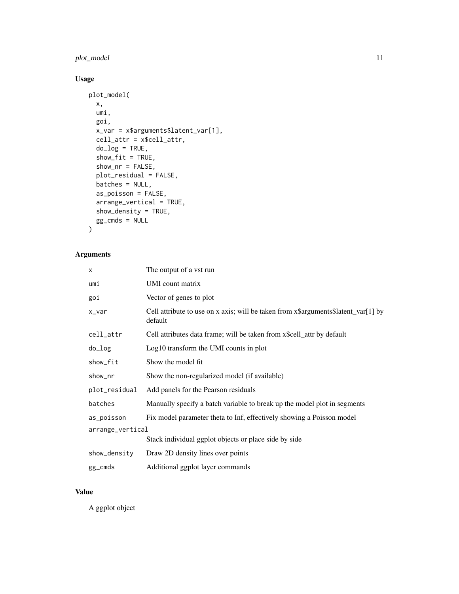# plot\_model 11

# Usage

```
plot_model(
 x,
 umi,
 goi,
 x_var = x$arguments$latent_var[1],
 cell_attr = x$cell_attr,
 do\_log = TRUE,show\_fit = TRUE,show_nr = FALSE,
 plot_residual = FALSE,
 batches = NULL,
  as_poisson = FALSE,
  arrange_vertical = TRUE,
  show_density = TRUE,
 gg\_cmds = NULL
)
```
# Arguments

| x                | The output of a vst run                                                                       |  |
|------------------|-----------------------------------------------------------------------------------------------|--|
| umi              | UMI count matrix                                                                              |  |
| goi              | Vector of genes to plot                                                                       |  |
| x_var            | Cell attribute to use on x axis; will be taken from x\$arguments\$latent_var[1] by<br>default |  |
| cell_attr        | Cell attributes data frame; will be taken from x\$cell_attr by default                        |  |
| do_log           | Log10 transform the UMI counts in plot                                                        |  |
| show_fit         | Show the model fit                                                                            |  |
| show_nr          | Show the non-regularized model (if available)                                                 |  |
| plot_residual    | Add panels for the Pearson residuals                                                          |  |
| batches          | Manually specify a batch variable to break up the model plot in segments                      |  |
| as_poisson       | Fix model parameter theta to Inf, effectively showing a Poisson model                         |  |
| arrange_vertical |                                                                                               |  |
|                  | Stack individual ggplot objects or place side by side                                         |  |
| show_density     | Draw 2D density lines over points                                                             |  |
| gg_cmds          | Additional ggplot layer commands                                                              |  |

# Value

A ggplot object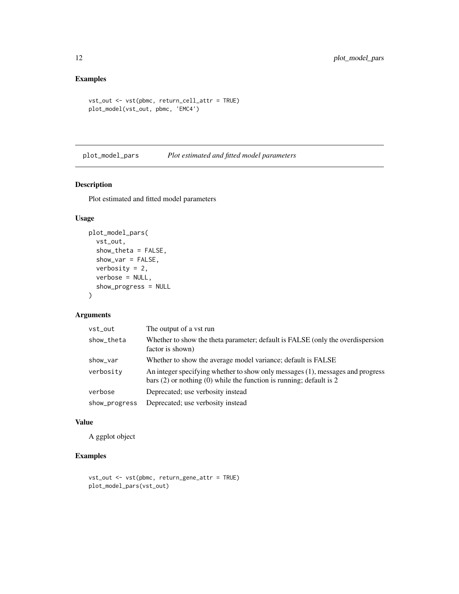# <span id="page-11-0"></span>Examples

```
vst_out <- vst(pbmc, return_cell_attr = TRUE)
plot_model(vst_out, pbmc, 'EMC4')
```
plot\_model\_pars *Plot estimated and fitted model parameters*

# Description

Plot estimated and fitted model parameters

# Usage

```
plot_model_pars(
  vst_out,
  show_theta = FALSE,
  show_var = FALSE,
  verbosity = 2,
  verbose = NULL,
  show_progress = NULL
\mathcal{L}
```
# Arguments

| vst_out       | The output of a vst run                                                                                                                                   |
|---------------|-----------------------------------------------------------------------------------------------------------------------------------------------------------|
| show_theta    | Whether to show the theta parameter; default is FALSE (only the overdispersion<br>factor is shown)                                                        |
| show_var      | Whether to show the average model variance; default is FALSE                                                                                              |
| verbosity     | An integer specifying whether to show only messages (1), messages and progress<br>bars $(2)$ or nothing $(0)$ while the function is running; default is 2 |
| verbose       | Deprecated; use verbosity instead                                                                                                                         |
| show_progress | Deprecated; use verbosity instead                                                                                                                         |

#### Value

A ggplot object

# Examples

```
vst_out <- vst(pbmc, return_gene_attr = TRUE)
plot_model_pars(vst_out)
```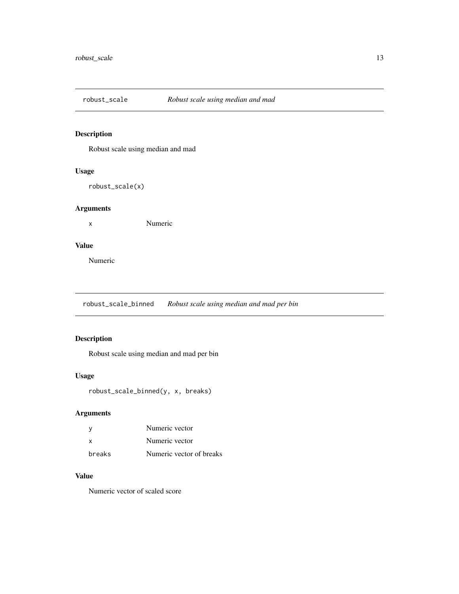<span id="page-12-0"></span>

Robust scale using median and mad

# Usage

robust\_scale(x)

# Arguments

x Numeric

# Value

Numeric

robust\_scale\_binned *Robust scale using median and mad per bin*

# Description

Robust scale using median and mad per bin

# Usage

robust\_scale\_binned(y, x, breaks)

# Arguments

|        | Numeric vector           |
|--------|--------------------------|
| x      | Numeric vector           |
| breaks | Numeric vector of breaks |

# Value

Numeric vector of scaled score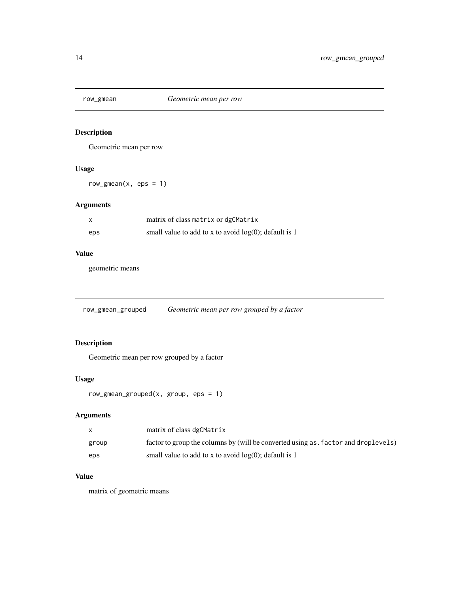<span id="page-13-0"></span>

Geometric mean per row

# Usage

 $row\_gmean(x, eps = 1)$ 

# Arguments

| $\mathsf{x}$ | matrix of class matrix or dgCMatrix                      |
|--------------|----------------------------------------------------------|
| eps          | small value to add to x to avoid $log(0)$ ; default is 1 |

# Value

geometric means

row\_gmean\_grouped *Geometric mean per row grouped by a factor*

# Description

Geometric mean per row grouped by a factor

# Usage

```
row_gmean_grouped(x, group, eps = 1)
```
# Arguments

| X     | matrix of class dgCMatrix                                                          |
|-------|------------------------------------------------------------------------------------|
| group | factor to group the columns by (will be converted using as, factor and droplevels) |
| eps   | small value to add to x to avoid $log(0)$ ; default is 1                           |

#### Value

matrix of geometric means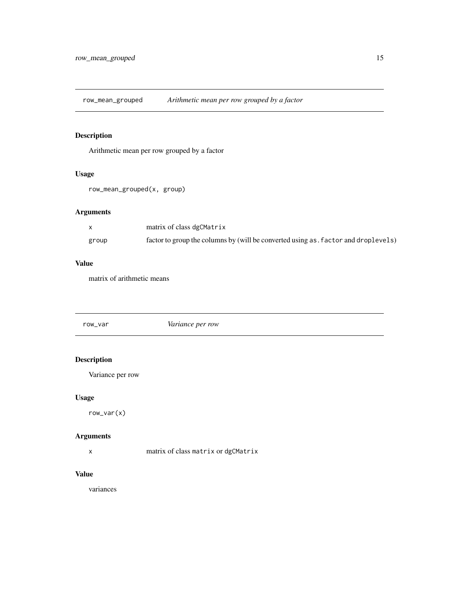<span id="page-14-0"></span>row\_mean\_grouped *Arithmetic mean per row grouped by a factor*

# Description

Arithmetic mean per row grouped by a factor

# Usage

row\_mean\_grouped(x, group)

# Arguments

|       | matrix of class dgCMatrix                                                          |
|-------|------------------------------------------------------------------------------------|
| group | factor to group the columns by (will be converted using as, factor and droplevels) |

#### Value

matrix of arithmetic means

| row_var | <i>Variance per row</i> |
|---------|-------------------------|
|         |                         |

# Description

Variance per row

# Usage

row\_var(x)

# Arguments

x matrix of class matrix or dgCMatrix

# Value

variances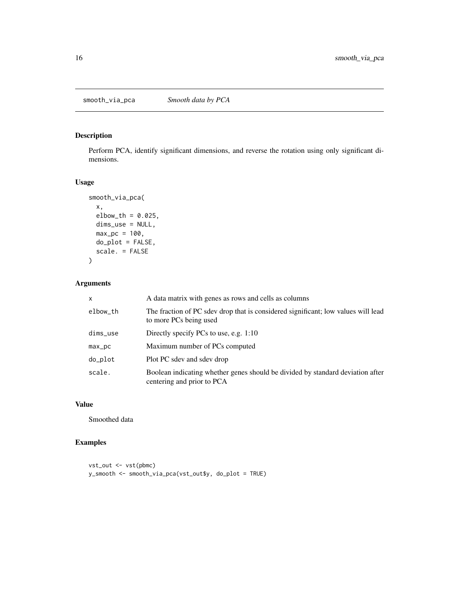<span id="page-15-0"></span>Perform PCA, identify significant dimensions, and reverse the rotation using only significant dimensions.

# Usage

```
smooth_via_pca(
 x,
 elbow_t h = 0.025,dims_use = NULL,
 max_p c = 100,
 do\_plot = FALSE,scale. = FALSE
)
```
# Arguments

| $\mathsf{x}$ | A data matrix with genes as rows and cells as columns                                                        |
|--------------|--------------------------------------------------------------------------------------------------------------|
| elbow_th     | The fraction of PC sdev drop that is considered significant; low values will lead<br>to more PCs being used  |
| $dims$ _use  | Directly specify PCs to use, e.g. $1:10$                                                                     |
| $max_p$      | Maximum number of PCs computed                                                                               |
| do_plot      | Plot PC sdev and sdev drop                                                                                   |
| scale.       | Boolean indicating whether genes should be divided by standard deviation after<br>centering and prior to PCA |

# Value

Smoothed data

# Examples

```
vst_out <- vst(pbmc)
y_smooth <- smooth_via_pca(vst_out$y, do_plot = TRUE)
```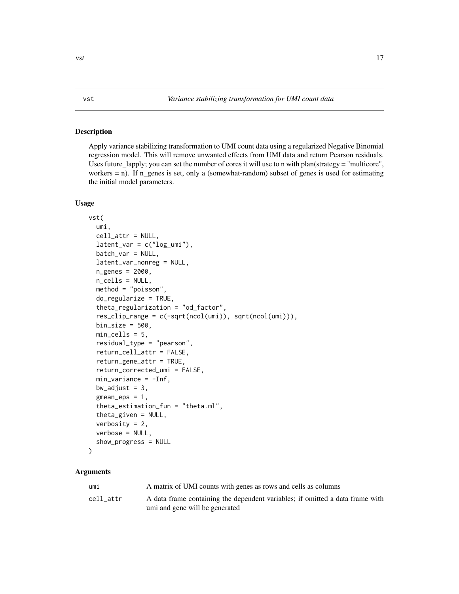<span id="page-16-0"></span>Apply variance stabilizing transformation to UMI count data using a regularized Negative Binomial regression model. This will remove unwanted effects from UMI data and return Pearson residuals. Uses future\_lapply; you can set the number of cores it will use to n with plan(strategy = "multicore", workers = n). If n\_genes is set, only a (somewhat-random) subset of genes is used for estimating the initial model parameters.

#### Usage

```
vst(
  umi,
  cell_attr = NULL,
  latent\_var = c("log\_umi"),
  batch_var = NULL,
  latent_var_nonreg = NULL,
  n_genes = 2000,
  n_cells = NULL,
  method = "poisson",
  do_regularize = TRUE,
  theta_regularization = "od_factor",
  res_clip_range = c(-sqrt(ncol(umi)), sqrt(ncol(umi))),
  bin\_size = 500,
  min_cells = 5,
  residual_type = "pearson",
  return_cell_attr = FALSE,
  return_gene_attr = TRUE,
  return_corrected_umi = FALSE,
  min_variance = -Inf,
  bw\_adjust = 3,gmean_eps = 1,
  theta_estimation_fun = "theta.ml",
  theta_given = NULL,
  verbosity = 2,
  verbose = NULL,
  show_progress = NULL
)
```
# Arguments

| umı       | A matrix of UMI counts with genes as rows and cells as columns                |
|-----------|-------------------------------------------------------------------------------|
| cell attr | A data frame containing the dependent variables; if omitted a data frame with |
|           | umi and gene will be generated                                                |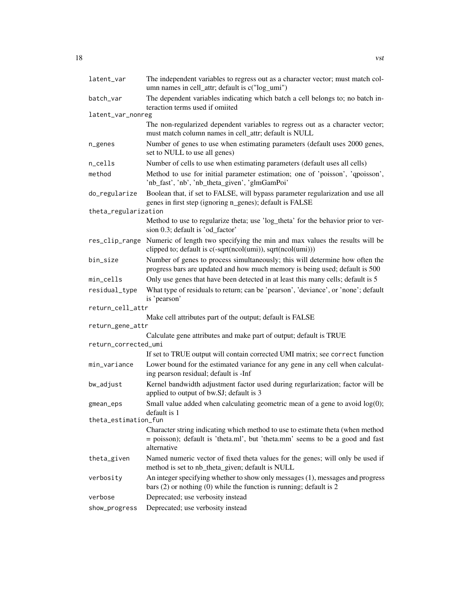| latent_var           | The independent variables to regress out as a character vector; must match col-<br>umn names in cell_attr; default is c("log_umi")                                             |  |
|----------------------|--------------------------------------------------------------------------------------------------------------------------------------------------------------------------------|--|
| batch_var            | The dependent variables indicating which batch a cell belongs to; no batch in-<br>teraction terms used if omiited                                                              |  |
| latent_var_nonreg    |                                                                                                                                                                                |  |
|                      | The non-regularized dependent variables to regress out as a character vector;<br>must match column names in cell_attr; default is NULL                                         |  |
| n_genes              | Number of genes to use when estimating parameters (default uses 2000 genes,<br>set to NULL to use all genes)                                                                   |  |
| n_cells              | Number of cells to use when estimating parameters (default uses all cells)                                                                                                     |  |
| method               | Method to use for initial parameter estimation; one of 'poisson', 'qpoisson',<br>'nb_fast', 'nb', 'nb_theta_given', 'glmGamPoi'                                                |  |
| do_regularize        | Boolean that, if set to FALSE, will bypass parameter regularization and use all<br>genes in first step (ignoring n_genes); default is FALSE                                    |  |
| theta_regularization |                                                                                                                                                                                |  |
|                      | Method to use to regularize theta; use 'log_theta' for the behavior prior to ver-<br>sion 0.3; default is 'od factor'                                                          |  |
| res_clip_range       | Numeric of length two specifying the min and max values the results will be<br>clipped to; default is c(-sqrt(ncol(umi)), sqrt(ncol(umi)))                                     |  |
| bin_size             | Number of genes to process simultaneously; this will determine how often the<br>progress bars are updated and how much memory is being used; default is 500                    |  |
| min_cells            | Only use genes that have been detected in at least this many cells; default is 5                                                                                               |  |
| residual_type        | What type of residuals to return; can be 'pearson', 'deviance', or 'none'; default<br>is 'pearson'                                                                             |  |
| return_cell_attr     |                                                                                                                                                                                |  |
|                      | Make cell attributes part of the output; default is FALSE                                                                                                                      |  |
| return_gene_attr     |                                                                                                                                                                                |  |
|                      | Calculate gene attributes and make part of output; default is TRUE                                                                                                             |  |
| return_corrected_umi |                                                                                                                                                                                |  |
| min_variance         | If set to TRUE output will contain corrected UMI matrix; see correct function<br>Lower bound for the estimated variance for any gene in any cell when calculat-                |  |
|                      | ing pearson residual; default is -Inf                                                                                                                                          |  |
| bw_adjust            | Kernel bandwidth adjustment factor used during regurlarization; factor will be<br>applied to output of bw.SJ; default is 3                                                     |  |
| gmean_eps            | Small value added when calculating geometric mean of a gene to avoid $log(0)$ ;<br>default is 1                                                                                |  |
| theta_estimation_fun |                                                                                                                                                                                |  |
|                      | Character string indicating which method to use to estimate theta (when method<br>= poisson); default is 'theta.ml', but 'theta.mm' seems to be a good and fast<br>alternative |  |
| theta_given          | Named numeric vector of fixed theta values for the genes; will only be used if<br>method is set to nb_theta_given; default is NULL                                             |  |
| verbosity            | An integer specifying whether to show only messages (1), messages and progress<br>bars $(2)$ or nothing $(0)$ while the function is running; default is 2                      |  |
| verbose              | Deprecated; use verbosity instead                                                                                                                                              |  |
| show_progress        | Deprecated; use verbosity instead                                                                                                                                              |  |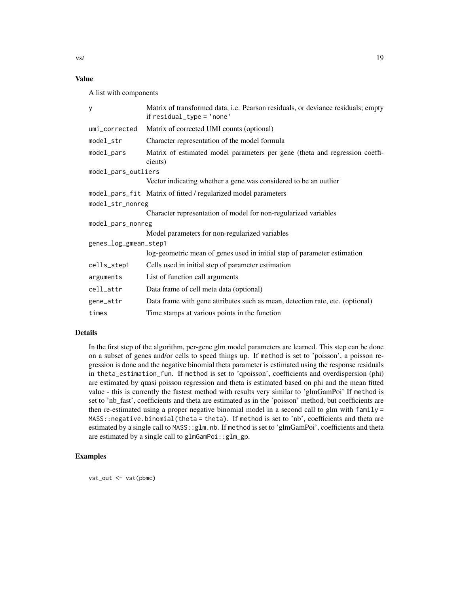# Value

A list with components

| У                     | Matrix of transformed data, i.e. Pearson residuals, or deviance residuals; empty<br>if $residual_type = 'none'$ |  |
|-----------------------|-----------------------------------------------------------------------------------------------------------------|--|
| umi_corrected         | Matrix of corrected UMI counts (optional)                                                                       |  |
| model_str             | Character representation of the model formula                                                                   |  |
| model_pars            | Matrix of estimated model parameters per gene (theta and regression coeffi-<br>cients)                          |  |
| model_pars_outliers   |                                                                                                                 |  |
|                       | Vector indicating whether a gene was considered to be an outlier                                                |  |
|                       | model_pars_fit Matrix of fitted / regularized model parameters                                                  |  |
| model_str_nonreg      |                                                                                                                 |  |
|                       | Character representation of model for non-regularized variables                                                 |  |
| model_pars_nonreg     |                                                                                                                 |  |
|                       | Model parameters for non-regularized variables                                                                  |  |
| genes_log_gmean_step1 |                                                                                                                 |  |
|                       | log-geometric mean of genes used in initial step of parameter estimation                                        |  |
| cells_step1           | Cells used in initial step of parameter estimation                                                              |  |
| arguments             | List of function call arguments                                                                                 |  |
| cell_attr             | Data frame of cell meta data (optional)                                                                         |  |
| gene_attr             | Data frame with gene attributes such as mean, detection rate, etc. (optional)                                   |  |
| times                 | Time stamps at various points in the function                                                                   |  |

#### Details

In the first step of the algorithm, per-gene glm model parameters are learned. This step can be done on a subset of genes and/or cells to speed things up. If method is set to 'poisson', a poisson regression is done and the negative binomial theta parameter is estimated using the response residuals in theta\_estimation\_fun. If method is set to 'qpoisson', coefficients and overdispersion (phi) are estimated by quasi poisson regression and theta is estimated based on phi and the mean fitted value - this is currently the fastest method with results very similar to 'glmGamPoi' If method is set to 'nb\_fast', coefficients and theta are estimated as in the 'poisson' method, but coefficients are then re-estimated using a proper negative binomial model in a second call to glm with family = MASS::negative.binomial(theta = theta). If method is set to 'nb', coefficients and theta are estimated by a single call to MASS: : glm.nb. If method is set to 'glmGamPoi', coefficients and theta are estimated by a single call to glmGamPoi::glm\_gp.

# Examples

vst\_out <- vst(pbmc)